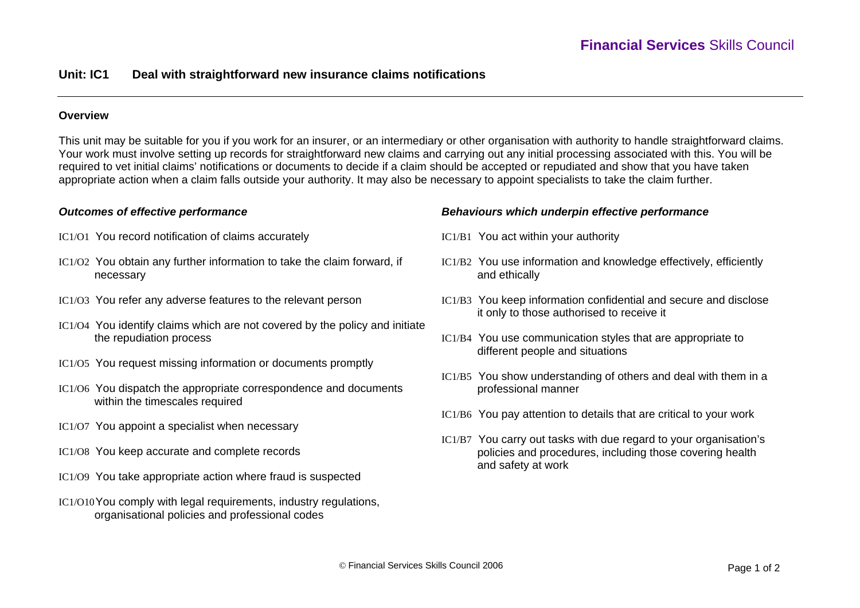# **Unit: IC1 Deal with straightforward new insurance claims notifications**

## **Overview**

This unit may be suitable for you if you work for an insurer, or an intermediary or other organisation with authority to handle straightforward claims. Your work must involve setting up records for straightforward new claims and carrying out any initial processing associated with this. You will be required to vet initial claims' notifications or documents to decide if a claim should be accepted or repudiated and show that you have taken appropriate action when a claim falls outside your authority. It may also be necessary to appoint specialists to take the claim further.

### *Outcomes of effective performance*

- IC1/O1 You record notification of claims accurately
- IC1/O2 You obtain any further information to take the claim forward, if necessary
- IC1/O3 You refer any adverse features to the relevant person
- IC1/O4 You identify claims which are not covered by the policy and initiate the repudiation process
- IC1/O5 You request missing information or documents promptly
- IC1/O6 You dispatch the appropriate correspondence and documents within the timescales required
- IC1/O7 You appoint a specialist when necessary
- IC1/O8 You keep accurate and complete records
- IC1/O9 You take appropriate action where fraud is suspected
- IC1/O10You comply with legal requirements, industry regulations, organisational policies and professional codes

#### *Behaviours which underpin effective performance*

- IC1/B1 You act within your authority
- IC1/B2 You use information and knowledge effectively, efficiently and ethically
- IC1/B3 You keep information confidential and secure and disclose it only to those authorised to receive it
- IC1/B4 You use communication styles that are appropriate to different people and situations
- IC1/B5 You show understanding of others and deal with them in a professional manner
- IC1/B6 You pay attention to details that are critical to your work
- IC1/B7 You carry out tasks with due regard to your organisation's policies and procedures, including those covering health and safety at work